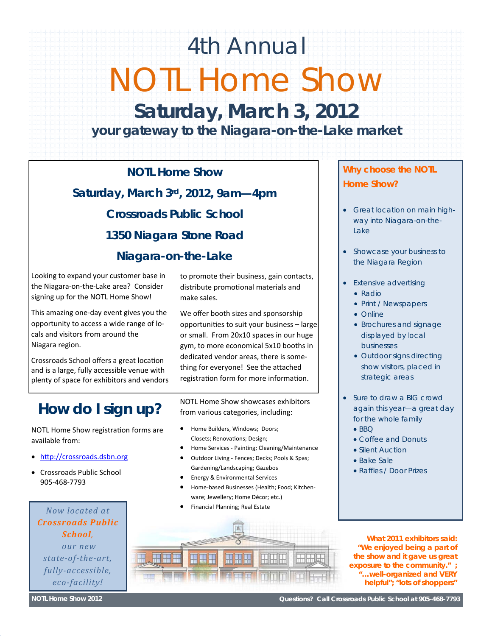## 4th Annual NOTL Home Show

**Saturday, March 3, 2012**  *your gateway to the Niagara-on-the-Lake market* 

**NOTL Home Show Saturday, March 3rd, 2012, 9am—4pm Crossroads Public School 1350 Niagara Stone Road** 

#### **Niagara-on-the-Lake**

Looking to expand your customer base in the Niagara‐on‐the‐Lake area? Consider signing up for the NOTL Home Show!

This amazing one‐day event gives you the opportunity to access a wide range of lo‐ cals and visitors from around the Niagara region.

Crossroads School offers a great location and is a large, fully accessible venue with plenty of space for exhibitors and vendors

## *How do I sign up?*

NOTL Home Show registration forms are available from:

- http://crossroads.dsbn.org
- Crossroads Public School 905‐468‐7793

*Now located at Crossroads Public School, our new state‐of‐the‐art, fully‐accessible, eco‐facility!*

to promote their business, gain contacts, distribute promotional materials and make sales.

We offer booth sizes and sponsorship opportuniƟes to suit your business – large or small. From 20x10 spaces in our huge gym, to more economical 5x10 booths in dedicated vendor areas, there is some‐ thing for everyone! See the attached registration form for more information.

NOTL Home Show showcases exhibitors from various categories, including:

- Home Builders, Windows; Doors; Closets; Renovations; Design;
- Home Services Painting; Cleaning/Maintenance
- Outdoor Living ‐ Fences; Decks; Pools & Spas; Gardening/Landscaping; Gazebos
- Energy & Environmental Services
- Home‐based Businesses (Health; Food; Kitchen‐ ware; Jewellery; Home Décor; etc.)
- Financial Planning; Real Estate

#### *Why choose the NOTL Home Show?*

- *Great location on main highway into Niagara-on-the-Lake*
- *Showcase your business to the Niagara Region*
- *Extensive advertising* 
	- *Radio*
	- *Print / Newspapers*
	- *Online*
	- *Brochures and signage displayed by local businesses*
	- *Outdoor signs directing show visitors, placed in strategic areas*
- *Sure to draw a BIG crowd again this year—a great day for the whole family* 
	- $-BBO$
	- *Coffee and Donuts*
	- *Silent Auction*
	- *Bake Sale*
	- *Raffles / Door Prizes*



*What 2011 exhibitors said: "We enjoyed being a part of the show and it gave us great exposure to the community." ; "…well-organized and VERY helpful"; "lots of shoppers"* 

**NOTL Home Show 2012** 

**Questions? Call Crossroads Public School at 905-468-7793**